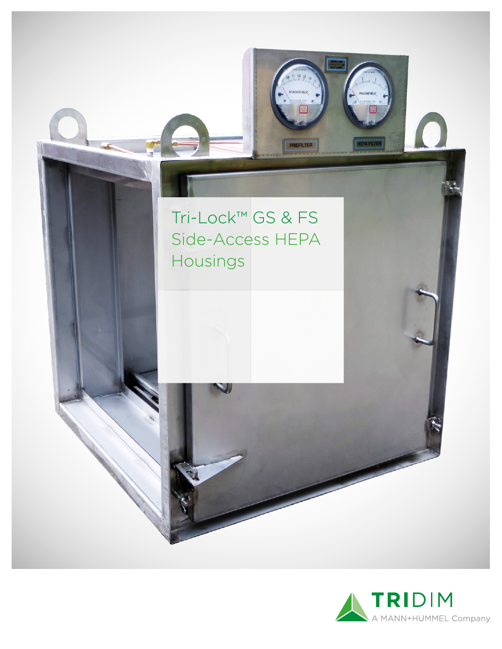



HEPA FILTER

PREFILTER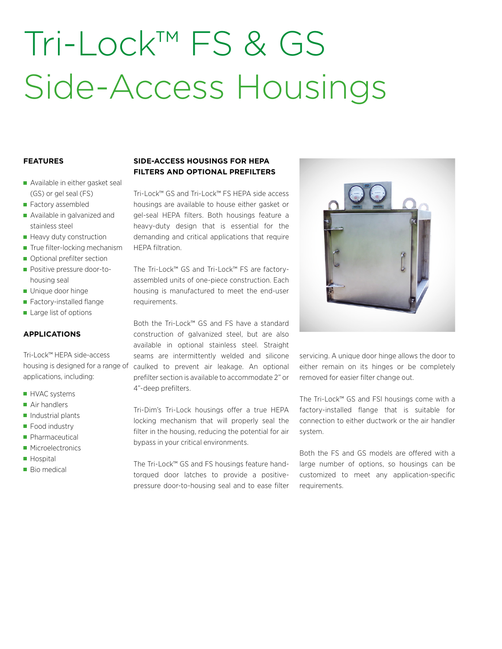## Tri-Lock™ FS & GS Side-Access Housings

#### **FEATURES**

- Available in either gasket seal (GS) or gel seal (FS)
- Factory assembled
- **Available in galvanized and** stainless steel
- Heavy duty construction
- True filter-locking mechanism
- Optional prefilter section
- **Positive pressure door-to**housing seal
- Unique door hinge
- Factory-installed flange
- Large list of options

#### **APPLICATIONS**

Tri-Lock™ HEPA side-access applications, including:

- **HVAC** systems
- Air handlers
- $\blacksquare$  Industrial plants
- Food industry
- **Pharmaceutical**
- **Microelectronics**
- **Hospital**
- **Bio medical**

### **SIDE-ACCESS HOUSINGS FOR HEPA FILTERS AND OPTIONAL PREFILTERS**

Tri-Lock™ GS and Tri-Lock™ FS HEPA side access housings are available to house either gasket or gel-seal HEPA filters. Both housings feature a heavy-duty design that is essential for the demanding and critical applications that require HEPA filtration.

The Tri-Lock™ GS and Tri-Lock™ FS are factoryassembled units of one-piece construction. Each housing is manufactured to meet the end-user requirements.

Both the Tri-Lock™ GS and FS have a standard construction of galvanized steel, but are also available in optional stainless steel. Straight seams are intermittently welded and silicone housing is designed for a range of caulked to prevent air leakage. An optional prefilter section is available to accommodate 2" or 4"-deep prefilters.

> Tri-Dim's Tri-Lock housings offer a true HEPA locking mechanism that will properly seal the filter in the housing, reducing the potential for air bypass in your critical environments.

> The Tri-Lock™ GS and FS housings feature handtorqued door latches to provide a positivepressure door-to-housing seal and to ease filter



servicing. A unique door hinge allows the door to either remain on its hinges or be completely removed for easier filter change out.

The Tri-Lock™ GS and FSl housings come with a factory-installed flange that is suitable for connection to either ductwork or the air handler system.

Both the FS and GS models are offered with a large number of options, so housings can be customized to meet any application-specific requirements.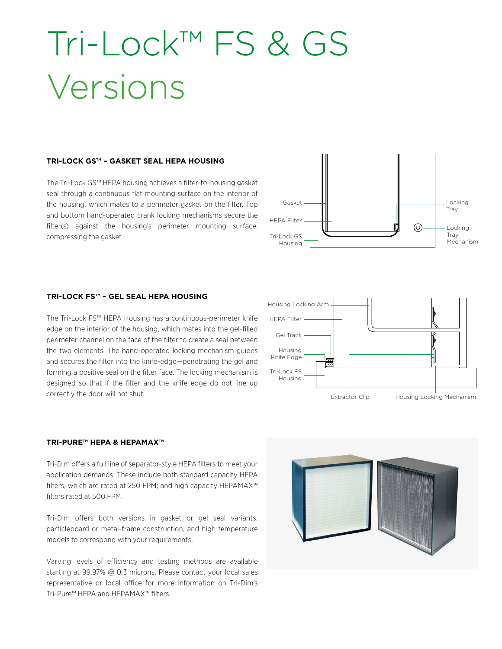### Tri-Lock™ FS & GS Versions

#### **TRI-LOCK GS™ – GASKET SEAL HEPA HOUSING**

The Tri-Lock GS™ HEPA housing achieves a filter-to-housing gasket seal through a continuous flat mounting surface on the interior of the housing, which mates to a perimeter gasket on the filter. Top and bottom hand-operated crank locking mechanisms secure the filter(s) against the housing's perimeter mounting surface, compressing the gasket.



#### **TRI-LOCK FS™ – GEL SEAL HEPA HOUSING**

The Tri-Lock FS™ HEPA Housing has a continuous-perimeter knife edge on the interior of the housing, which mates into the gel-filled perimeter channel on the face of the filter to create a seal between the two elements. The hand-operated locking mechanism guides and secures the filter into the knife-edge—penetrating the gel and forming a positive seal on the filter face. The locking mechanism is designed so that if the filter and the knife edge do not line up correctly the door will not shut.



#### **TRI-PURE™ HEPA & HEPAMAX™**

Tri-Dim offers a full line of separator-style HEPA filters to meet your application demands. These include both standard capacity HEPA filters, which are rated at 250 FPM; and high capacity HEPAMAX™ filters rated at 500 FPM.

Tri-Dim offers both versions in gasket or gel seal variants, particleboard or metal-frame construction, and high temperature models to correspond with your requirements.

Varying levels of efficiency and testing methods are available starting at 99.97% @ 0.3 microns. Please contact your local sales representative or local office for more information on Tri-Dim's Tri-Pure™ HEPA and HEPAMAX™ filters.